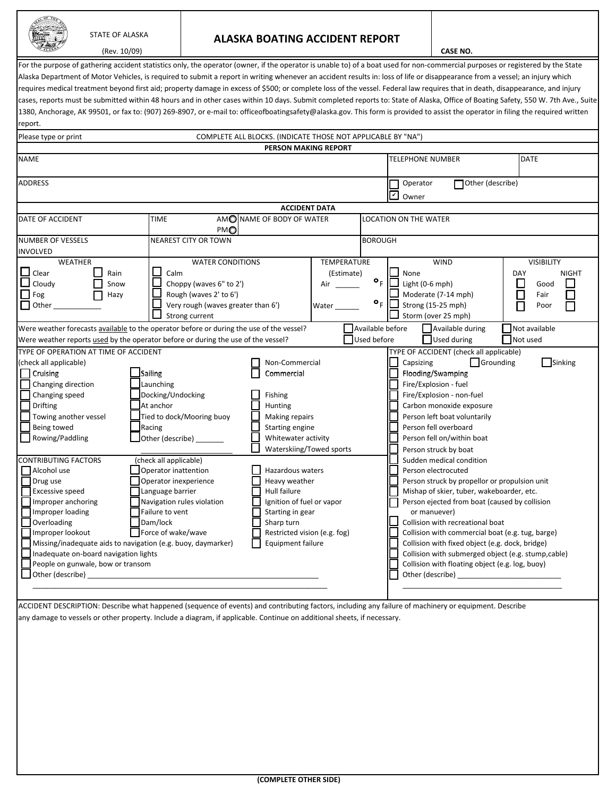|--|

## STATE OF ALASKA **ALASKA BOATING ACCIDENT REPORT**

| ALASH<br>(Rev. 10/09)                                                                                                                                                              |                        |                                    |                                                              |                                                                                                                | <b>CASE NO.</b>              |                                           |                            |                                                    |          |                   |              |
|------------------------------------------------------------------------------------------------------------------------------------------------------------------------------------|------------------------|------------------------------------|--------------------------------------------------------------|----------------------------------------------------------------------------------------------------------------|------------------------------|-------------------------------------------|----------------------------|----------------------------------------------------|----------|-------------------|--------------|
| For the purpose of gathering accident statistics only, the operator (owner, if the operator is unable to) of a boat used for non-commercial purposes or registered by the State    |                        |                                    |                                                              |                                                                                                                |                              |                                           |                            |                                                    |          |                   |              |
| Alaska Department of Motor Vehicles, is required to submit a report in writing whenever an accident results in: loss of life or disappearance from a vessel; an injury which       |                        |                                    |                                                              |                                                                                                                |                              |                                           |                            |                                                    |          |                   |              |
| requires medical treatment beyond first aid; property damage in excess of \$500; or complete loss of the vessel. Federal law requires that in death, disappearance, and injury     |                        |                                    |                                                              |                                                                                                                |                              |                                           |                            |                                                    |          |                   |              |
| cases, reports must be submitted within 48 hours and in other cases within 10 days. Submit completed reports to: State of Alaska, Office of Boating Safety, 550 W. 7th Ave., Suite |                        |                                    |                                                              |                                                                                                                |                              |                                           |                            |                                                    |          |                   |              |
| 1380, Anchorage, AK 99501, or fax to: (907) 269-8907, or e-mail to: officeofboatingsafety@alaska.gov. This form is provided to assist the operator in filing the required written  |                        |                                    |                                                              |                                                                                                                |                              |                                           |                            |                                                    |          |                   |              |
|                                                                                                                                                                                    |                        |                                    |                                                              |                                                                                                                |                              |                                           |                            |                                                    |          |                   |              |
| report.                                                                                                                                                                            |                        |                                    |                                                              |                                                                                                                |                              |                                           |                            |                                                    |          |                   |              |
| Please type or print                                                                                                                                                               |                        |                                    | COMPLETE ALL BLOCKS. (INDICATE THOSE NOT APPLICABLE BY "NA") |                                                                                                                |                              |                                           |                            |                                                    |          |                   |              |
|                                                                                                                                                                                    |                        |                                    | <b>PERSON MAKING REPORT</b>                                  |                                                                                                                |                              |                                           |                            |                                                    |          |                   |              |
| <b>NAME</b>                                                                                                                                                                        |                        |                                    |                                                              |                                                                                                                |                              | <b>TELEPHONE NUMBER</b>                   |                            |                                                    |          | <b>DATE</b>       |              |
| <b>ADDRESS</b>                                                                                                                                                                     |                        |                                    |                                                              |                                                                                                                |                              | Operator                                  |                            | Other (describe)                                   |          |                   |              |
|                                                                                                                                                                                    |                        |                                    |                                                              |                                                                                                                |                              | Iv<br>Owner                               |                            |                                                    |          |                   |              |
|                                                                                                                                                                                    |                        |                                    | <b>ACCIDENT DATA</b>                                         |                                                                                                                |                              |                                           |                            |                                                    |          |                   |              |
| DATE OF ACCIDENT                                                                                                                                                                   | TIME                   | PMO                                | AMO NAME OF BODY OF WATER                                    |                                                                                                                |                              | <b>LOCATION ON THE WATER</b>              |                            |                                                    |          |                   |              |
| <b>NUMBER OF VESSELS</b>                                                                                                                                                           |                        | <b>NEAREST CITY OR TOWN</b>        |                                                              |                                                                                                                | <b>BOROUGH</b>               |                                           |                            |                                                    |          |                   |              |
| <b>INVOLVED</b>                                                                                                                                                                    |                        |                                    |                                                              |                                                                                                                |                              |                                           |                            |                                                    |          |                   |              |
| <b>WEATHER</b>                                                                                                                                                                     |                        | <b>WATER CONDITIONS</b>            |                                                              | <b>TEMPERATURE</b>                                                                                             |                              |                                           | <b>WIND</b>                |                                                    |          | <b>VISIBILITY</b> |              |
| $\Box$ Clear<br>Rain                                                                                                                                                               | Calm                   |                                    |                                                              | (Estimate)                                                                                                     |                              | None                                      |                            |                                                    | DAY      |                   | <b>NIGHT</b> |
| $\Box$ Cloudy<br>Snow                                                                                                                                                              |                        | Choppy (waves 6" to 2')            |                                                              | Air                                                                                                            | $\bullet_{\rm F}$            |                                           | Light $(0-6$ mph)          |                                                    | $\Box$   | Good              |              |
| $\Box$ Fog<br>Hazy                                                                                                                                                                 |                        | Rough (waves 2' to 6')             |                                                              |                                                                                                                |                              |                                           | Moderate (7-14 mph)        |                                                    | $\Box$   | Fair              |              |
| $\Box$ Other                                                                                                                                                                       |                        | Very rough (waves greater than 6') |                                                              | Water                                                                                                          | $\bullet_F$                  |                                           | Strong (15-25 mph)         |                                                    |          | Poor              |              |
|                                                                                                                                                                                    |                        | Strong current                     |                                                              |                                                                                                                |                              |                                           | Storm (over 25 mph)        |                                                    |          |                   |              |
| Were weather forecasts available to the operator before or during the use of the vessel?                                                                                           |                        |                                    |                                                              |                                                                                                                | Available before             |                                           |                            | Available during                                   |          | Not available     |              |
| Were weather reports used by the operator before or during the use of the vessel?                                                                                                  |                        |                                    |                                                              |                                                                                                                | Used before                  |                                           | Used during                |                                                    | Not used |                   |              |
| TYPE OF OPERATION AT TIME OF ACCIDENT                                                                                                                                              |                        |                                    |                                                              |                                                                                                                |                              |                                           |                            | TYPE OF ACCIDENT (check all applicable)            |          |                   |              |
| (check all applicable)                                                                                                                                                             |                        |                                    | Non-Commercial                                               |                                                                                                                |                              | Capsizing                                 |                            | Grounding                                          |          |                   | Sinking      |
| Cruising                                                                                                                                                                           | Sailing                |                                    | Commercial                                                   |                                                                                                                |                              |                                           | Flooding/Swamping          |                                                    |          |                   |              |
| Changing direction                                                                                                                                                                 | Launching              |                                    |                                                              |                                                                                                                |                              |                                           | Fire/Explosion - fuel      |                                                    |          |                   |              |
| Changing speed                                                                                                                                                                     | Docking/Undocking      |                                    | Fishing                                                      |                                                                                                                |                              |                                           | Fire/Explosion - non-fuel  |                                                    |          |                   |              |
| <b>Drifting</b>                                                                                                                                                                    | At anchor              |                                    | Hunting                                                      |                                                                                                                |                              |                                           | Carbon monoxide exposure   |                                                    |          |                   |              |
| Towing another vessel                                                                                                                                                              |                        | Tied to dock/Mooring buoy          | Making repairs                                               |                                                                                                                | Person left boat voluntarily |                                           |                            |                                                    |          |                   |              |
| Being towed                                                                                                                                                                        | Racing                 |                                    | Starting engine                                              |                                                                                                                |                              |                                           | Person fell overboard      |                                                    |          |                   |              |
| Rowing/Paddling                                                                                                                                                                    | Other (describe)       |                                    | Whitewater activity                                          |                                                                                                                |                              |                                           | Person fell on/within boat |                                                    |          |                   |              |
|                                                                                                                                                                                    |                        |                                    | Waterskiing/Towed sports                                     |                                                                                                                |                              |                                           | Person struck by boat      |                                                    |          |                   |              |
| CONTRIBUTING FACTORS                                                                                                                                                               | (check all applicable) |                                    |                                                              |                                                                                                                |                              |                                           |                            | Sudden medical condition                           |          |                   |              |
| Alcohol use                                                                                                                                                                        | Operator inattention   |                                    | Hazardous waters                                             |                                                                                                                |                              |                                           | Person electrocuted        |                                                    |          |                   |              |
| Drug use                                                                                                                                                                           | Operator inexperience  |                                    | Heavy weather                                                |                                                                                                                |                              |                                           |                            | Person struck by propellor or propulsion unit      |          |                   |              |
| Excessive speed                                                                                                                                                                    | Language barrier       |                                    | Hull failure                                                 |                                                                                                                |                              | Mishap of skier, tuber, wakeboarder, etc. |                            |                                                    |          |                   |              |
| Improper anchoring                                                                                                                                                                 |                        | Navigation rules violation         | Ignition of fuel or vapor                                    |                                                                                                                |                              |                                           |                            | Person ejected from boat (caused by collision      |          |                   |              |
| Improper loading                                                                                                                                                                   | Failure to vent        | Starting in gear<br>Sharp turn     |                                                              |                                                                                                                |                              | or manuever)                              |                            |                                                    |          |                   |              |
| Overloading                                                                                                                                                                        | Dam/lock               |                                    |                                                              | Collision with recreational boat<br>Collision with commercial boat (e.g. tug, barge)                           |                              |                                           |                            |                                                    |          |                   |              |
| Improper lookout<br>Missing/inadequate aids to navigation (e.g. buoy, daymarker)                                                                                                   | Force of wake/wave     |                                    | Restricted vision (e.g. fog)<br>Equipment failure            |                                                                                                                |                              |                                           |                            | Collision with fixed object (e.g. dock, bridge)    |          |                   |              |
| Inadequate on-board navigation lights                                                                                                                                              |                        |                                    |                                                              |                                                                                                                |                              |                                           |                            | Collision with submerged object (e.g. stump,cable) |          |                   |              |
| People on gunwale, bow or transom                                                                                                                                                  |                        |                                    |                                                              | Collision with floating object (e.g. log, buoy)                                                                |                              |                                           |                            |                                                    |          |                   |              |
|                                                                                                                                                                                    |                        |                                    |                                                              | Other (describe) and the state of the state of the state of the state of the state of the state of the state o |                              |                                           |                            |                                                    |          |                   |              |
|                                                                                                                                                                                    |                        |                                    |                                                              |                                                                                                                |                              |                                           |                            |                                                    |          |                   |              |
|                                                                                                                                                                                    |                        |                                    |                                                              |                                                                                                                |                              |                                           |                            |                                                    |          |                   |              |
| ACCIDENT DESCRIPTION: Describe what happened (sequence of events) and contributing factors, including any failure of machinery or equipment. Describe                              |                        |                                    |                                                              |                                                                                                                |                              |                                           |                            |                                                    |          |                   |              |
| any damage to vessels or other property. Include a diagram, if applicable. Continue on additional sheets, if necessary.                                                            |                        |                                    |                                                              |                                                                                                                |                              |                                           |                            |                                                    |          |                   |              |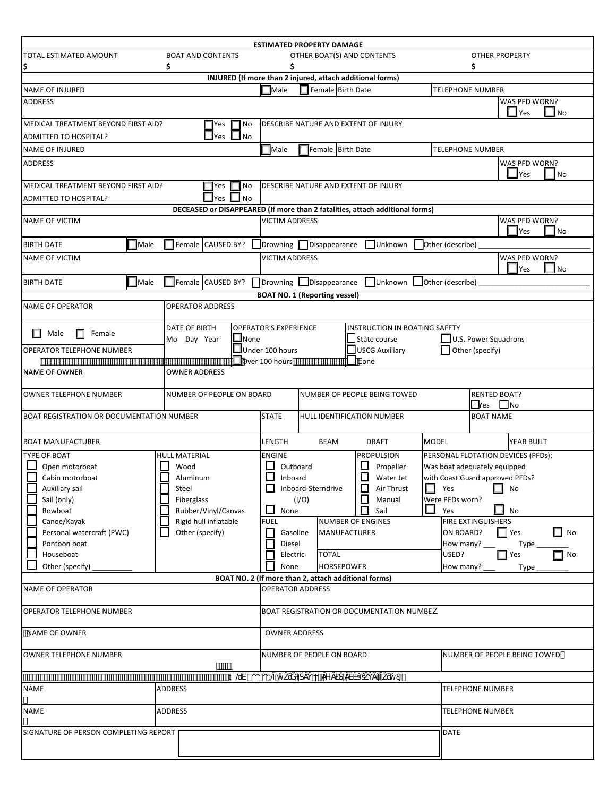|                                                    |                |                            |                       |                      |                                                                             | <b>ESTIMATED PROPERTY DAMAGE</b>                      |                                         |                                                                              |                            |                                         |                                    |                      |  |  |  |
|----------------------------------------------------|----------------|----------------------------|-----------------------|----------------------|-----------------------------------------------------------------------------|-------------------------------------------------------|-----------------------------------------|------------------------------------------------------------------------------|----------------------------|-----------------------------------------|------------------------------------|----------------------|--|--|--|
| TOTAL ESTIMATED AMOUNT<br><b>BOAT AND CONTENTS</b> |                |                            |                       |                      |                                                                             | OTHER BOAT(S) AND CONTENTS                            |                                         |                                                                              |                            |                                         | <b>OTHER PROPERTY</b>              |                      |  |  |  |
| \$<br>\$                                           |                |                            |                       |                      |                                                                             |                                                       | \$                                      |                                                                              |                            |                                         |                                    |                      |  |  |  |
|                                                    |                |                            |                       |                      |                                                                             |                                                       |                                         | INJURED (If more than 2 injured, attach additional forms)                    |                            |                                         |                                    |                      |  |  |  |
| <b>NAME OF INJURED</b>                             |                |                            |                       |                      | $\Box$ Male                                                                 | Female Birth Date                                     |                                         |                                                                              |                            | <b>TELEPHONE NUMBER</b>                 |                                    |                      |  |  |  |
| <b>ADDRESS</b>                                     |                |                            |                       |                      |                                                                             |                                                       |                                         |                                                                              |                            |                                         | WAS PFD WORN?<br>$\Box$ Yes        | $\Box$ No            |  |  |  |
| MEDICAL TREATMENT BEYOND FIRST AID?                |                |                            | $\Box$ Yes            | 1 No                 |                                                                             |                                                       |                                         | DESCRIBE NATURE AND EXTENT OF INJURY                                         |                            |                                         |                                    |                      |  |  |  |
| ADMITTED TO HOSPITAL?                              |                |                            | $\Box$ Yes $\Box$ No  |                      |                                                                             |                                                       |                                         |                                                                              |                            |                                         |                                    |                      |  |  |  |
| <b>NAME OF INJURED</b>                             |                |                            |                       |                      | <b>Nale</b>                                                                 | Female Birth Date                                     |                                         |                                                                              |                            | <b>TELEPHONE NUMBER</b>                 |                                    |                      |  |  |  |
| <b>ADDRESS</b>                                     |                |                            |                       |                      |                                                                             |                                                       |                                         |                                                                              |                            |                                         | WAS PFD WORN?<br>$\exists$ Yes     | <b>No</b>            |  |  |  |
| MEDICAL TREATMENT BEYOND FIRST AID?                |                |                            | ∏Yes                  | $\Box$ No            |                                                                             |                                                       |                                         | DESCRIBE NATURE AND EXTENT OF INJURY                                         |                            |                                         |                                    |                      |  |  |  |
| ADMITTED TO HOSPITAL?                              |                |                            | Yes                   | $\Box$ No            |                                                                             |                                                       |                                         | DECEASED or DISAPPEARED (If more than 2 fatalities, attach additional forms) |                            |                                         |                                    |                      |  |  |  |
| <b>NAME OF VICTIM</b>                              |                |                            |                       |                      | <b>VICTIM ADDRESS</b>                                                       |                                                       |                                         |                                                                              |                            |                                         | WAS PFD WORN?                      |                      |  |  |  |
| <b>BIRTH DATE</b>                                  | $\Box$ Male    |                            |                       |                      |                                                                             | Female CAUSED BY? Drowning Disappearance              |                                         | Unknown                                                                      | Other (describe)           |                                         | $\blacktriangle$ Yes               | ∦No                  |  |  |  |
| <b>NAME OF VICTIM</b>                              |                |                            |                       |                      | <b>VICTIM ADDRESS</b>                                                       |                                                       |                                         |                                                                              |                            |                                         | WAS PFD WORN?                      |                      |  |  |  |
|                                                    |                |                            |                       |                      |                                                                             |                                                       |                                         |                                                                              |                            |                                         | Yes                                | ∥No                  |  |  |  |
| <b>BIRTH DATE</b>                                  | $\Box$ Male    | Female CAUSED BY?          |                       |                      | 1Drowning                                                                   | Disappearance<br><b>BOAT NO. 1 (Reporting vessel)</b> |                                         |                                                                              | Unknown   Other (describe) |                                         |                                    |                      |  |  |  |
| <b>NAME OF OPERATOR</b>                            |                | <b>OPERATOR ADDRESS</b>    |                       |                      |                                                                             |                                                       |                                         |                                                                              |                            |                                         |                                    |                      |  |  |  |
| ш<br>Male<br>Female                                |                | DATE OF BIRTH              |                       |                      | <b>OPERATOR'S EXPERIENCE</b>                                                |                                                       |                                         | <b>NSTRUCTION IN BOATING SAFETY</b>                                          |                            |                                         |                                    |                      |  |  |  |
| OPERATOR TELEPHONE NUMBER                          |                | $\Box$ None<br>Mo Day Year |                       |                      | $\Box$ Under 100 hours                                                      |                                                       |                                         | State course<br>USCG Auxiliary                                               |                            | U.S. Power Squadrons<br>Other (specify) |                                    |                      |  |  |  |
|                                                    |                |                            |                       |                      | Over 100 hours                                                              | <b>Vone</b>                                           |                                         |                                                                              |                            |                                         |                                    |                      |  |  |  |
| <b>OWNER ADDRESS</b><br><b>NAME OF OWNER</b>       |                |                            |                       |                      |                                                                             |                                                       |                                         |                                                                              |                            |                                         |                                    |                      |  |  |  |
| <b>OWNER TELEPHONE NUMBER</b>                      |                | NUMBER OF PEOPLE ON BOARD  |                       |                      | <b>RENTED BOAT?</b><br>NUMBER OF PEOPLE BEING TOWED<br>$\Box$ res $\Box$ No |                                                       |                                         |                                                                              |                            |                                         |                                    |                      |  |  |  |
| BOAT REGISTRATION OR DOCUMENTATION NUMBER          |                |                            |                       |                      | <b>STATE</b><br>HULL IDENTIFICATION NUMBER                                  |                                                       |                                         |                                                                              |                            | <b>BOAT NAME</b>                        |                                    |                      |  |  |  |
| <b>BOAT MANUFACTURER</b>                           |                |                            |                       |                      | LENGTH                                                                      | <b>MODEL</b><br>BEAM<br><b>DRAFT</b>                  |                                         |                                                                              |                            |                                         | YEAR BUILT                         |                      |  |  |  |
| <b>TYPE OF BOAT</b>                                |                | <b>HULL MATERIAL</b>       |                       |                      | <b>ENGINE</b>                                                               |                                                       |                                         | <b>PROPULSION</b>                                                            |                            |                                         | PERSONAL FLOTATION DEVICES (PFDs): |                      |  |  |  |
| Open motorboat                                     |                | Wood                       |                       |                      | Outboard                                                                    |                                                       |                                         | Propeller                                                                    |                            | Was boat adequately equipped            |                                    |                      |  |  |  |
| Cabin motorboat                                    |                | Aluminum                   |                       |                      | $\Box$<br>Inboard<br>Water Jet                                              |                                                       |                                         |                                                                              |                            | with Coast Guard approved PFDs?         |                                    |                      |  |  |  |
|                                                    | Auxiliary sail |                            |                       | Steel                |                                                                             |                                                       | $\Box$ Air Thrust<br>Inboard-Sterndrive |                                                                              |                            |                                         |                                    | $\Box$ Yes $\Box$ No |  |  |  |
| Sail (only)                                        | Fiberglass     |                            |                       |                      |                                                                             | (I/O)                                                 |                                         | $\mathsf{L}$<br>Manual                                                       |                            | Were PFDs worn?                         |                                    |                      |  |  |  |
| Rowboat                                            |                |                            | Rubber/Vinyl/Canvas   |                      | None                                                                        |                                                       |                                         | Sail                                                                         | Yes                        |                                         | $\Box$ No                          |                      |  |  |  |
| Canoe/Kayak                                        |                |                            | Rigid hull inflatable |                      | <b>FUEL</b>                                                                 |                                                       |                                         | <b>NUMBER OF ENGINES</b>                                                     |                            | <b>FIRE EXTINGUISHERS</b>               |                                    |                      |  |  |  |
| Personal watercraft (PWC)<br>Other (specify)       |                |                            |                       |                      | Gasoline                                                                    |                                                       | <b>MANUFACTURER</b>                     |                                                                              |                            | ON BOARD?                               | $\Box$ Yes                         | $\Box$ No            |  |  |  |
| Pontoon boat                                       |                |                            |                       |                      | Diesel                                                                      |                                                       |                                         |                                                                              |                            | How many?                               | Type                               |                      |  |  |  |
| Houseboat                                          |                |                            |                       |                      | Electric                                                                    | <b>TOTAL</b>                                          |                                         |                                                                              | USED?                      |                                         | $\Box$ Yes                         | $\Box$ No            |  |  |  |
| Other (specify)<br>None                            |                |                            |                       |                      |                                                                             |                                                       | <b>HORSEPOWER</b>                       |                                                                              |                            | How many?                               | Type                               |                      |  |  |  |
|                                                    |                |                            |                       |                      |                                                                             | BOAT NO. 2 (If more than 2, attach additional forms)  |                                         |                                                                              |                            |                                         |                                    |                      |  |  |  |
| <b>NAME OF OPERATOR</b>                            |                |                            |                       |                      | <b>OPERATOR ADDRESS</b>                                                     |                                                       |                                         |                                                                              |                            |                                         |                                    |                      |  |  |  |
| <b>OPERATOR TELEPHONE NUMBER</b>                   |                |                            |                       |                      | <b>BOAT REGISTRATION OR DOCUMENTATION NUMBEK</b>                            |                                                       |                                         |                                                                              |                            |                                         |                                    |                      |  |  |  |
| <b>NAME OF OWNER</b>                               |                |                            |                       |                      | <b>OWNER ADDRESS</b>                                                        |                                                       |                                         |                                                                              |                            |                                         |                                    |                      |  |  |  |
| <b>OWNER TELEPHONE NUMBER</b><br>                  |                |                            |                       |                      | NUMBER OF PEOPLE ON BOARD                                                   |                                                       |                                         |                                                                              |                            | NUMBER OF PEOPLE BEING TOWED            |                                    |                      |  |  |  |
|                                                    |                |                            |                       | $\ddagger$ @V-00-0 @ |                                                                             |                                                       |                                         |                                                                              |                            |                                         |                                    |                      |  |  |  |
| <b>NAME</b>                                        |                | <b>ADDRESS</b>             |                       |                      |                                                                             |                                                       |                                         |                                                                              |                            | <b>TELEPHONE NUMBER</b>                 |                                    |                      |  |  |  |
| <b>NAME</b>                                        | ADDRESS        |                            |                       |                      |                                                                             |                                                       |                                         |                                                                              |                            |                                         | <b>TELEPHONE NUMBER</b>            |                      |  |  |  |
|                                                    |                |                            |                       |                      |                                                                             |                                                       |                                         |                                                                              |                            |                                         |                                    |                      |  |  |  |
| SIGNATURE OF PERSON COMPLETING REPORT              |                |                            |                       |                      |                                                                             |                                                       |                                         |                                                                              | <b>DATE</b>                |                                         |                                    |                      |  |  |  |
|                                                    |                |                            |                       |                      |                                                                             |                                                       |                                         |                                                                              |                            |                                         |                                    |                      |  |  |  |